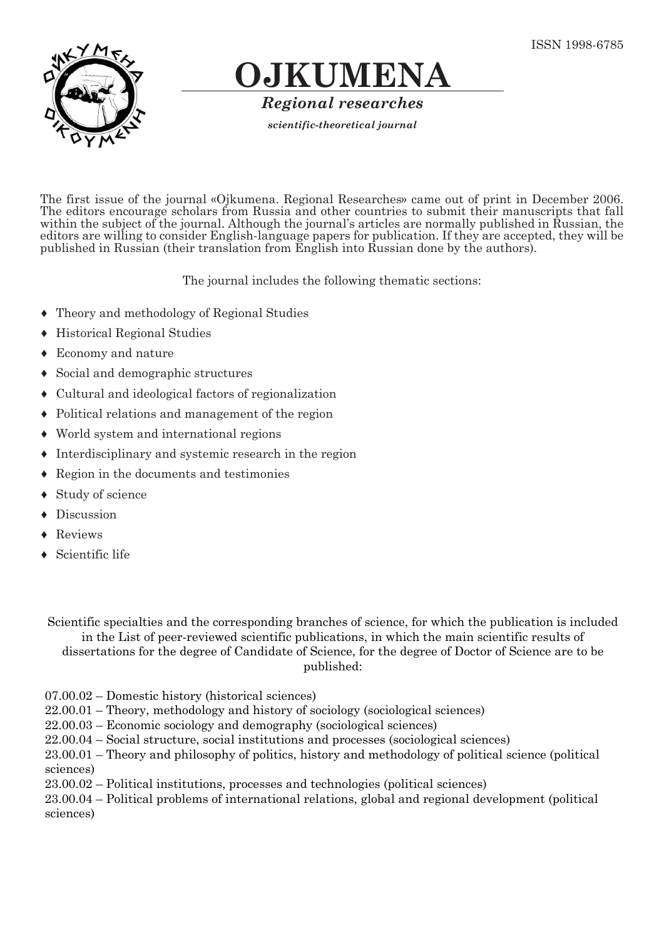

## **OJKUMENA**

*Regional researches*

*scientific-theoretical journal*

The first issue of the journal «Ojkumena. Regional Researches» came out of print in December 2006. The editors encourage scholars from Russia and other countries to submit their manuscripts that fall within the subject of the journal. Although the journal's articles are normally published in Russian, the editors are willing to consider English-language papers for publication. If they are accepted, they will be published in Russian (their translation from English into Russian done by the authors).

The journal includes the following thematic sections:

- ♦ Theory and methodology of Regional Studies
- ♦ Historical Regional Studies
- ♦ Economy and nature
- ♦ Social and demographic structures
- ♦ Cultural and ideological factors of regionalization
- ♦ Political relations and management of the region
- ♦ World system and international regions
- ♦ Interdisciplinary and systemic research in the region
- ♦ Region in the documents and testimonies
- ♦ Study of science
- ♦ Discussion
- **Reviews**
- Scientific life

Scientific specialties and the corresponding branches of science, for which the publication is included in the List of peer-reviewed scientific publications, in which the main scientific results of dissertations for the degree of Candidate of Science, for the degree of Doctor of Science are to be published:

07.00.02 – Domestic history (historical sciences)

22.00.01 – Theory, methodology and history of sociology (sociological sciences)

- 22.00.03 Economic sociology and demography (sociological sciences)
- 22.00.04 Social structure, social institutions and processes (sociological sciences)

23.00.01 – Theory and philosophy of politics, history and methodology of political science (political sciences)

23.00.02 – Political institutions, processes and technologies (political sciences)

23.00.04 – Political problems of international relations, global and regional development (political sciences)